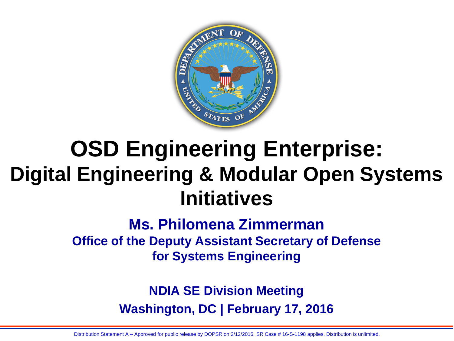

## **OSD Engineering Enterprise: Digital Engineering & Modular Open Systems Initiatives**

### **Ms. Philomena Zimmerman Office of the Deputy Assistant Secretary of Defense for Systems Engineering**

**NDIA SE Division Meeting Washington, DC | February 17, 2016**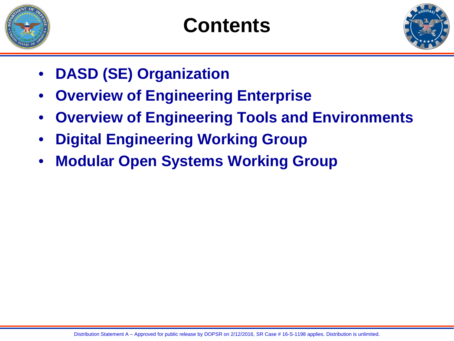

## **Contents**



- **DASD (SE) Organization**
- **Overview of Engineering Enterprise**
- **Overview of Engineering Tools and Environments**
- **Digital Engineering Working Group**
- **Modular Open Systems Working Group**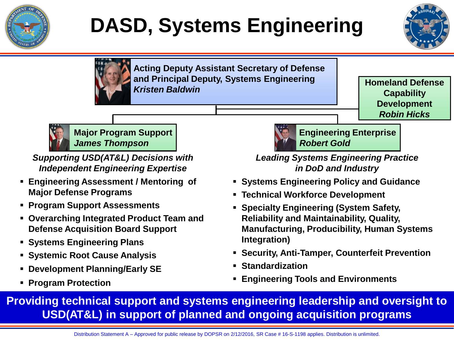

## **DASD, Systems Engineering**





**Acting Deputy Assistant Secretary of Defense and Principal Deputy, Systems Engineering**  *Kristen Baldwin*

**Homeland Defense Capability Development** *Robin Hicks*



**Major Program Support** *James Thompson*

*Supporting USD(AT&L) Decisions with Independent Engineering Expertise*

- **Engineering Assessment / Mentoring of Major Defense Programs**
- **Program Support Assessments**
- **Overarching Integrated Product Team and Defense Acquisition Board Support**
- **Systems Engineering Plans**
- **Systemic Root Cause Analysis**
- **Development Planning/Early SE**
- **Program Protection**



*Leading Systems Engineering Practice in DoD and Industry Robert Gold*

- **Systems Engineering Policy and Guidance**
- **Technical Workforce Development**
- **Specialty Engineering (System Safety, Reliability and Maintainability, Quality, Manufacturing, Producibility, Human Systems Integration)**
- **Security, Anti-Tamper, Counterfeit Prevention**
- **Standardization**
- **Engineering Tools and Environments**

**Providing technical support and systems engineering leadership and oversight to USD(AT&L) in support of planned and ongoing acquisition programs**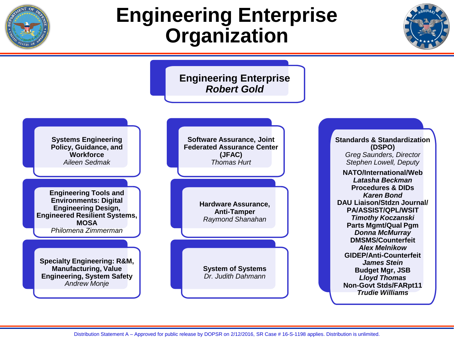

### **Engineering Enterprise Organization**



**Engineering Enterprise** *Robert Gold*



**Engineering Tools and Environments: Digital Engineering Design, Engineered Resilient Systems, MOSA** *Philomena Zimmerman*

**Specialty Engineering: R&M, Manufacturing, Value Engineering, System Safety** *Andrew Monje*



**Standards & Standardization (DSPO)** *Greg Saunders, Director Stephen Lowell, Deputy* **NATO/International/Web** *Latasha Beckman* **Procedures & DIDs** *Karen Bond* **DAU Liaison/Stdzn Journal/ PA/ASSIST/QPL/WSIT** *Timothy Koczanski* **Parts Mgmt/Qual Pgm** *Donna McMurray* **DMSMS/Counterfeit** *Alex Melnikow* **GIDEP/Anti-Counterfeit** *James Stein* **Budget Mgr, JSB** *Lloyd Thomas*  **Non-Govt Stds/FARpt11** *Trudie Williams*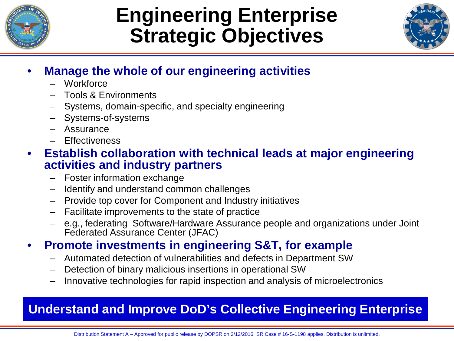

## **Engineering Enterprise Strategic Objectives**



### • **Manage the whole of our engineering activities**

- Workforce
- Tools & Environments
- Systems, domain-specific, and specialty engineering
- Systems-of-systems
- Assurance
- Effectiveness

### • **Establish collaboration with technical leads at major engineering activities and industry partners**

- Foster information exchange
- Identify and understand common challenges
- Provide top cover for Component and Industry initiatives
- Facilitate improvements to the state of practice
- e.g., federating Software/Hardware Assurance people and organizations under Joint Federated Assurance Center (JFAC)
- **Promote investments in engineering S&T, for example**
	- Automated detection of vulnerabilities and defects in Department SW
	- Detection of binary malicious insertions in operational SW
	- Innovative technologies for rapid inspection and analysis of microelectronics

### **Understand and Improve DoD's Collective Engineering Enterprise**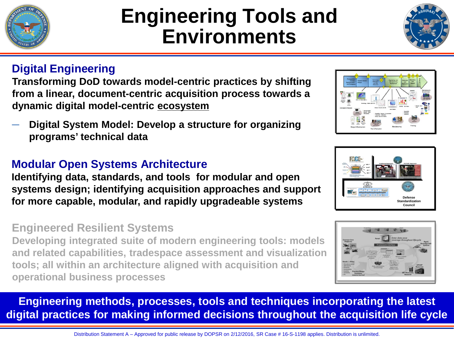

─ **Digital System Model: Develop a structure for organizing programs' technical data**

**Identifying data, standards, and tools for modular and open systems design; identifying acquisition approaches and support** 

### **Engineered Resilient Systems**

**Developing integrated suite of modern engineering tools: models and related capabilities, tradespace assessment and visualization tools; all within an architecture aligned with acquisition and operational business processes** 

**Engineering methods, processes, tools and techniques incorporating the latest digital practices for making informed decisions throughout the acquisition life cycle**

Distribution Statement A – Approved for public release by DOPSR on 2/12/2016, SR Case # 16-S-1198 applies. Distribution is unlimited.

## **Engineering Tools and Environments**

### **Digital Engineering**

**Transforming DoD towards model-centric practices by shifting from a linear, document-centric acquisition process towards a dynamic digital model-centric ecosystem**

### **Modular Open Systems Architecture**

**for more capable, modular, and rapidly upgradeable systems**



**Defense Standardization Council**





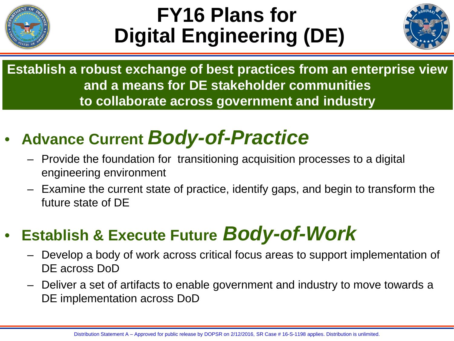

## **FY16 Plans for Digital Engineering (DE)**



**Establish a robust exchange of best practices from an enterprise view and a means for DE stakeholder communities to collaborate across government and industry** 

### • **Advance Current** *Body-of-Practice*

- Provide the foundation for transitioning acquisition processes to a digital engineering environment
- Examine the current state of practice, identify gaps, and begin to transform the future state of DE

### • **Establish & Execute Future** *Body-of-Work*

- Develop a body of work across critical focus areas to support implementation of DE across DoD
- Deliver a set of artifacts to enable government and industry to move towards a DE implementation across DoD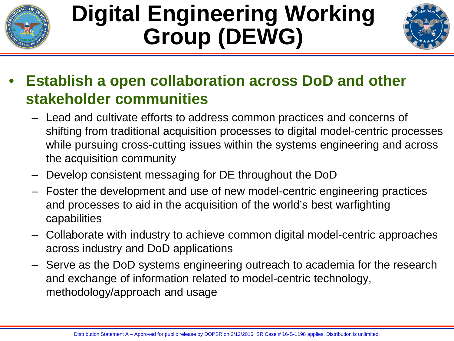

## **Digital Engineering Working Group (DEWG)**



- **Establish a open collaboration across DoD and other stakeholder communities**
	- Lead and cultivate efforts to address common practices and concerns of shifting from traditional acquisition processes to digital model-centric processes while pursuing cross-cutting issues within the systems engineering and across the acquisition community
	- Develop consistent messaging for DE throughout the DoD
	- Foster the development and use of new model-centric engineering practices and processes to aid in the acquisition of the world's best warfighting capabilities
	- Collaborate with industry to achieve common digital model-centric approaches across industry and DoD applications
	- Serve as the DoD systems engineering outreach to academia for the research and exchange of information related to model-centric technology, methodology/approach and usage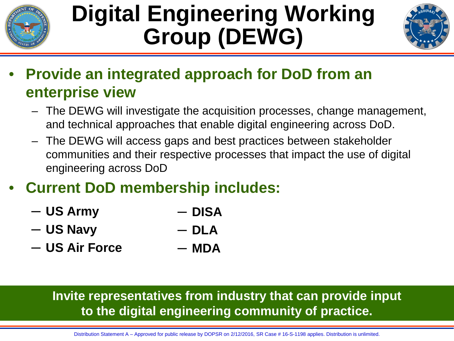

## **Digital Engineering Working Group (DEWG)**



- **Provide an integrated approach for DoD from an enterprise view** 
	- The DEWG will investigate the acquisition processes, change management, and technical approaches that enable digital engineering across DoD.
	- The DEWG will access gaps and best practices between stakeholder communities and their respective processes that impact the use of digital engineering across DoD
- **Current DoD membership includes:**
	- ─ **US Army** ─ **DISA**
	- ─ **US Navy** ─ **DLA**
	- ─ **US Air Force**   $-$  **MDA**

### **Invite representatives from industry that can provide input to the digital engineering community of practice.**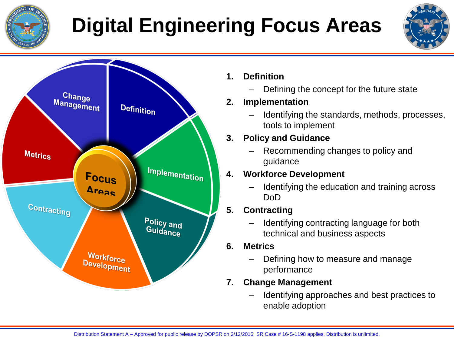

# **Digital Engineering Focus Areas**



#### **1. Definition**

– Defining the concept for the future state

#### **2. Implementation**

– Identifying the standards, methods, processes, tools to implement

#### **3. Policy and Guidance**

– Recommending changes to policy and guidance

#### **4. Workforce Development**

– Identifying the education and training across DoD

### **5. Contracting**

- Identifying contracting language for both technical and business aspects
- **6. Metrics**
	- Defining how to measure and manage performance

#### **7. Change Management**

– Identifying approaches and best practices to enable adoption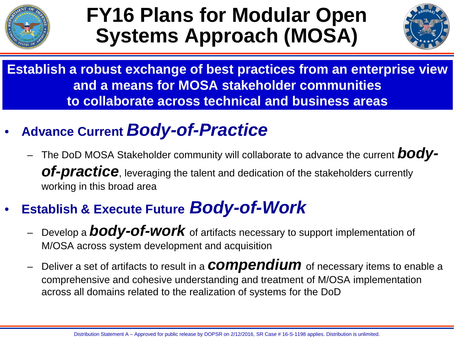

## **FY16 Plans for Modular Open Systems Approach (MOSA)**



**Establish a robust exchange of best practices from an enterprise view and a means for MOSA stakeholder communities to collaborate across technical and business areas**

- **Advance Current** *Body-of-Practice*
	- The DoD MOSA Stakeholder community will collaborate to advance the current *bodyof-practice*, leveraging the talent and dedication of the stakeholders currently working in this broad area

### • **Establish & Execute Future** *Body-of-Work*

- Develop a *body-of-work* of artifacts necessary to support implementation of M/OSA across system development and acquisition
- Deliver a set of artifacts to result in a *compendium* of necessary items to enable a comprehensive and cohesive understanding and treatment of M/OSA implementation across all domains related to the realization of systems for the DoD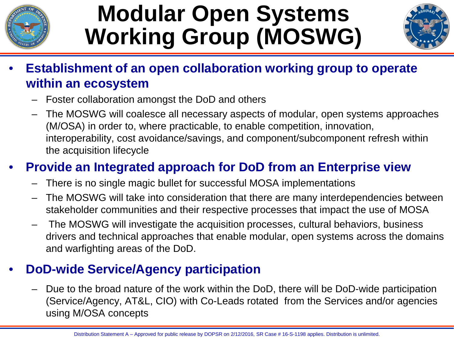

## **Modular Open Systems Working Group (MOSWG)**



- **Establishment of an open collaboration working group to operate within an ecosystem**
	- Foster collaboration amongst the DoD and others
	- The MOSWG will coalesce all necessary aspects of modular, open systems approaches (M/OSA) in order to, where practicable, to enable competition, innovation, interoperability, cost avoidance/savings, and component/subcomponent refresh within the acquisition lifecycle

### • **Provide an Integrated approach for DoD from an Enterprise view**

- There is no single magic bullet for successful MOSA implementations
- The MOSWG will take into consideration that there are many interdependencies between stakeholder communities and their respective processes that impact the use of MOSA
- The MOSWG will investigate the acquisition processes, cultural behaviors, business drivers and technical approaches that enable modular, open systems across the domains and warfighting areas of the DoD.

### • **DoD-wide Service/Agency participation**

– Due to the broad nature of the work within the DoD, there will be DoD-wide participation (Service/Agency, AT&L, CIO) with Co-Leads rotated from the Services and/or agencies using M/OSA concepts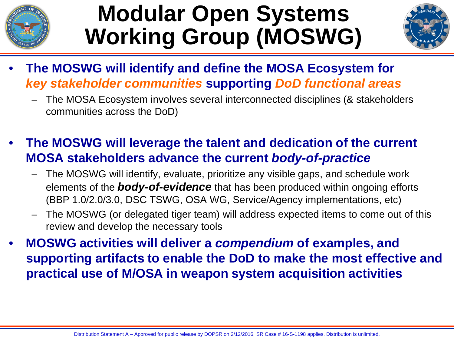

## **Modular Open Systems Working Group (MOSWG)**



- **The MOSWG will identify and define the MOSA Ecosystem for**  *key stakeholder communities* **supporting** *DoD functional areas* 
	- The MOSA Ecosystem involves several interconnected disciplines (& stakeholders communities across the DoD)
- **The MOSWG will leverage the talent and dedication of the current MOSA stakeholders advance the current** *body-of-practice*
	- The MOSWG will identify, evaluate, prioritize any visible gaps, and schedule work elements of the *body-of-evidence* that has been produced within ongoing efforts (BBP 1.0/2.0/3.0, DSC TSWG, OSA WG, Service/Agency implementations, etc)
	- The MOSWG (or delegated tiger team) will address expected items to come out of this review and develop the necessary tools
- **MOSWG activities will deliver a** *compendium* **of examples, and supporting artifacts to enable the DoD to make the most effective and practical use of M/OSA in weapon system acquisition activities**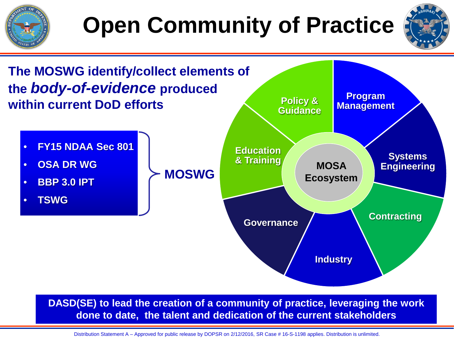



**DASD(SE) to lead the creation of a community of practice, leveraging the work done to date, the talent and dedication of the current stakeholders**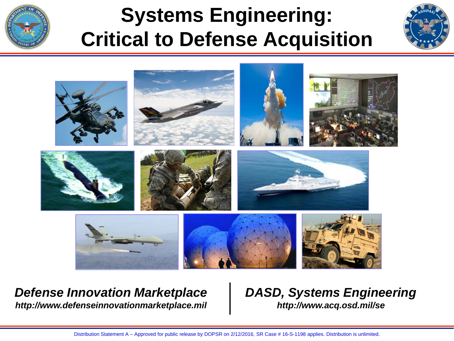

## **Systems Engineering: Critical to Defense Acquisition**





#### *Defense Innovation Marketplace http://www.defenseinnovationmarketplace.mil*

### *DASD, Systems Engineering http://www.acq.osd.mil/se*